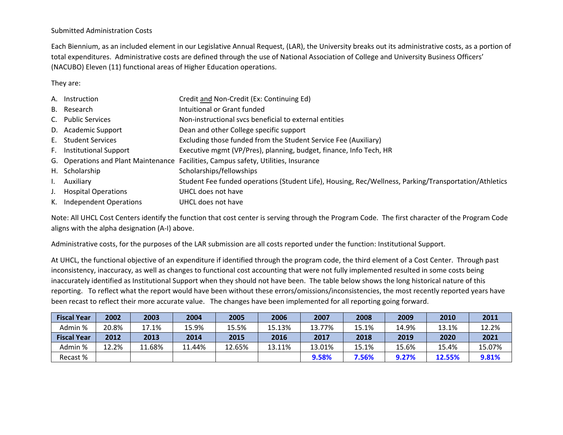## Submitted Administration Costs

Each Biennium, as an included element in our Legislative Annual Request, (LAR), the University breaks out its administrative costs, as <sup>a</sup> portion of total expenditures. Administrative costs are defined through the use of National Association of College and University Business Officers' (NACUBO) Eleven (11) functional areas of Higher Education operations.

They are:

| A. Instruction             | Credit and Non-Credit (Ex: Continuing Ed)                                                             |
|----------------------------|-------------------------------------------------------------------------------------------------------|
| B. Research                | Intuitional or Grant funded                                                                           |
| C. Public Services         | Non-instructional svcs beneficial to external entities                                                |
| D. Academic Support        | Dean and other College specific support                                                               |
| E. Student Services        | Excluding those funded from the Student Service Fee (Auxiliary)                                       |
| F. Institutional Support   | Executive mgmt (VP/Pres), planning, budget, finance, Info Tech, HR                                    |
|                            | G. Operations and Plant Maintenance Facilities, Campus safety, Utilities, Insurance                   |
| H. Scholarship             | Scholarships/fellowships                                                                              |
| Auxiliary                  | Student Fee funded operations (Student Life), Housing, Rec/Wellness, Parking/Transportation/Athletics |
| <b>Hospital Operations</b> | UHCL does not have                                                                                    |
| K. Independent Operations  | UHCL does not have                                                                                    |

Note: All UHCL Cost Centers identify the function that cost center is serving through the Program Code. The first character of the Program Code aligns with the alpha designation (A‐I) above.

Administrative costs, for the purposes of the LAR submission are all costs reported under the function: Institutional Support.

At UHCL, the functional objective of an expenditure if identified through the program code, the third element of <sup>a</sup> Cost Center. Through past inconsistency, inaccuracy, as well as changes to functional cost accounting that were not fully implemented resulted in some costs being inaccurately identified as Institutional Support when they should not have been. The table below shows the long historical nature of this reporting. To reflect what the report would have been without these errors/omissions/inconsistencies, the most recently reported years have been recast to reflect their more accurate value. The changes have been implemented for all reporting going forward.

| <b>Fiscal Year</b> | 2002  | 2003   | 2004   | 2005   | 2006   | 2007   | 2008  | 2009  | 2010   | 2011   |
|--------------------|-------|--------|--------|--------|--------|--------|-------|-------|--------|--------|
| Admin %            | 20.8% | 17.1%  | 15.9%  | 15.5%  | 15.13% | 13.77% | 15.1% | 14.9% | 13.1%  | 12.2%  |
| <b>Fiscal Year</b> | 2012  | 2013   | 2014   | 2015   | 2016   | 2017   | 2018  | 2019  | 2020   | 2021   |
| Admin %            | 12.2% | 11.68% | 11.44% | 12.65% | 13.11% | 13.01% | 15.1% | 15.6% | 15.4%  | 15.07% |
| Recast %           |       |        |        |        |        | 9.58%  | 7.56% | 9.27% | 12.55% | 9.81%  |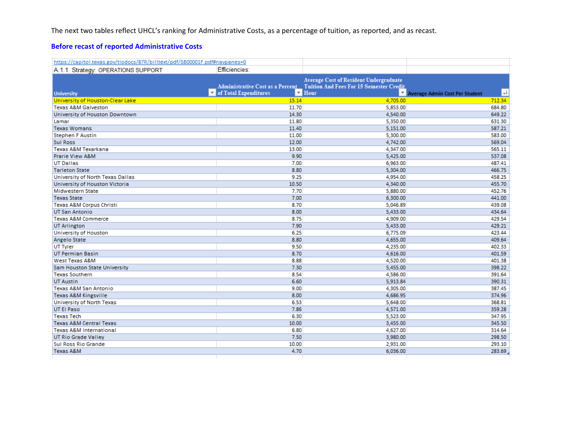The next two tables reflect UHCL's ranking for Administrative Costs, as <sup>a</sup> percentage of tuition, as reported, and as recast.

## **Before recast of reported Administrative Costs**

| https://capitol.texas.gov/tlodocs/87R/billtext/pdf/SB00001F.pdf#navpanes=0 |                                        |                                                                                                                                                             |                                               |
|----------------------------------------------------------------------------|----------------------------------------|-------------------------------------------------------------------------------------------------------------------------------------------------------------|-----------------------------------------------|
| A.1.1. Strategy: OPERATIONS SUPPORT                                        | Efficiencies:                          |                                                                                                                                                             |                                               |
| <b>University</b>                                                          | $\triangleright$ of Total Expenditures | <b>Average Cost of Resident Undergraduate</b><br>Administrative Cost as a Percent_ Tuition And Fees For 15 Semester Credit<br>$\overline{\phantom{a}}$ Hour | IJ<br><b>V</b> Average Admin Cost Per Student |
| University of Houston-Clear Lake                                           | 15.14                                  | 4,705.00                                                                                                                                                    | 712.34                                        |
| <b>Texas A&amp;M Galveston</b>                                             | 11.70                                  | 5,853.00                                                                                                                                                    | 684.80                                        |
| University of Houston Downtown                                             | 14.30                                  | 4,540.00                                                                                                                                                    | 649.22                                        |
| Lamar                                                                      | 11.80                                  | 5,350.00                                                                                                                                                    | 631.30                                        |
| <b>Texas Womans</b>                                                        | 11.40                                  | 5,151.00                                                                                                                                                    | 587.21                                        |
| <b>Stephen F Austin</b>                                                    | 11.00                                  | 5,300.00                                                                                                                                                    | 583.00                                        |
| <b>Sul Ross</b>                                                            | 12.00                                  | 4,742.00                                                                                                                                                    | 569.04                                        |
| Texas A&M Texarkana                                                        | 13.00                                  | 4,347.00                                                                                                                                                    | 565.11                                        |
| <b>Prarie View A&amp;M</b>                                                 | 9.90                                   | 5,425.00                                                                                                                                                    | 537.08                                        |
| <b>UT Dallas</b>                                                           | 7.00                                   | 6,963.00                                                                                                                                                    | 487.41                                        |
| <b>Tarleton State</b>                                                      | 8.80                                   | 5,304.00                                                                                                                                                    | 466.75                                        |
| University of North Texas Dallas                                           | 9.25                                   | 4,954.00                                                                                                                                                    | 458.25                                        |
| University of Houston Victoria                                             | 10.50                                  | 4,340.00                                                                                                                                                    | 455.70                                        |
| <b>Midwestern State</b>                                                    | 7.70                                   | 5,880.00                                                                                                                                                    | 452.76                                        |
| <b>Texas State</b>                                                         | 7.00                                   | 6,300.00                                                                                                                                                    | 441.00                                        |
| Texas A&M Corpus Christi                                                   | 8.70                                   | 5.046.89                                                                                                                                                    | 439.08                                        |
| <b>UT San Antonio</b>                                                      | 8.00                                   | 5,433.00                                                                                                                                                    | 434.64                                        |
| <b>Texas A&amp;M Commerce</b>                                              | 8.75                                   | 4,909.00                                                                                                                                                    | 429.54                                        |
| <b>UT Arlington</b>                                                        | 7.90                                   | 5,433.00                                                                                                                                                    | 429.21                                        |
| University of Houston                                                      | 6.25                                   | 6,775.09                                                                                                                                                    | 423.44                                        |
| Angelo State                                                               | 8.80                                   | 4,655.00                                                                                                                                                    | 409.64                                        |
| UT Tyler                                                                   | 9.50                                   | 4,235.00                                                                                                                                                    | 402.33                                        |
| <b>UT Permian Basin</b>                                                    | 8.70                                   | 4,616.00                                                                                                                                                    | 401.59                                        |
| <b>West Texas A&amp;M</b>                                                  | 8.88                                   | 4,520.00                                                                                                                                                    | 401.38                                        |
| Sam Houston State University                                               | 7.30                                   | 5,455.00                                                                                                                                                    | 398.22                                        |
| <b>Texas Southern</b>                                                      | 8.54                                   | 4,586.00                                                                                                                                                    | 391.64                                        |
| <b>UT Austin</b>                                                           | 6.60                                   | 5,913.84                                                                                                                                                    | 390.31                                        |
| <b>Texas A&amp;M San Antonio</b>                                           | 9.00                                   | 4,305.00                                                                                                                                                    | 387.45                                        |
| <b>Texas A&amp;M Kingsville</b>                                            | 8.00                                   | 4,686.95                                                                                                                                                    | 374.96                                        |
| University of North Texas                                                  | 6.53                                   | 5,648.00                                                                                                                                                    | 368.81                                        |
| UT El Paso                                                                 | 7.86                                   | 4,571.00                                                                                                                                                    | 359.28                                        |
| <b>Texas Tech</b>                                                          | 6.30                                   | 5,523.00                                                                                                                                                    | 347.95                                        |
| <b>Texas A&amp;M Central Texas</b>                                         | 10.00                                  | 3,455.00                                                                                                                                                    | 345.50                                        |
| <b>Texas A&amp;M International</b>                                         | 6.80                                   | 4,627.00                                                                                                                                                    | 314.64                                        |
| <b>UT Rio Grade Valley</b>                                                 | 7.50                                   | 3,980.00                                                                                                                                                    | 298.50                                        |
| Sul Ross Rio Grande                                                        | 10.00                                  | 2,931.00                                                                                                                                                    | 293.10                                        |
| <b>Texas A&amp;M</b>                                                       | 4.70                                   | 6,036.00                                                                                                                                                    | 283.69                                        |
|                                                                            |                                        |                                                                                                                                                             |                                               |